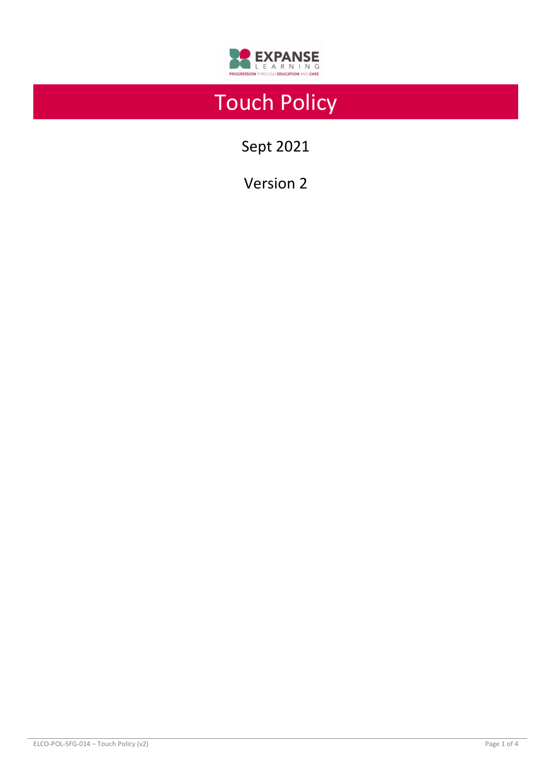

# Touch Policy

Sept 2021

Version 2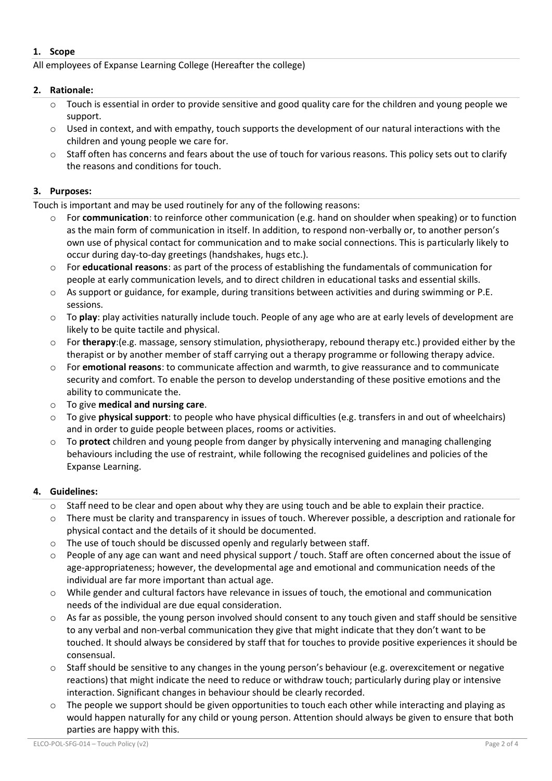# **1. Scope**

All employees of Expanse Learning College (Hereafter the college)

# **2. Rationale:**

- o Touch is essential in order to provide sensitive and good quality care for the children and young people we support.
- o Used in context, and with empathy, touch supports the development of our natural interactions with the children and young people we care for.
- o Staff often has concerns and fears about the use of touch for various reasons. This policy sets out to clarify the reasons and conditions for touch.

# **3. Purposes:**

Touch is important and may be used routinely for any of the following reasons:

- For **communication**: to reinforce other communication (e.g. hand on shoulder when speaking) or to function as the main form of communication in itself. In addition, to respond non-verbally or, to another person's own use of physical contact for communication and to make social connections. This is particularly likely to occur during day-to-day greetings (handshakes, hugs etc.).
- o For **educational reasons**: as part of the process of establishing the fundamentals of communication for people at early communication levels, and to direct children in educational tasks and essential skills.
- o As support or guidance, for example, during transitions between activities and during swimming or P.E. sessions.
- o To **play**: play activities naturally include touch. People of any age who are at early levels of development are likely to be quite tactile and physical.
- o For **therapy**:(e.g. massage, sensory stimulation, physiotherapy, rebound therapy etc.) provided either by the therapist or by another member of staff carrying out a therapy programme or following therapy advice.
- o For **emotional reasons**: to communicate affection and warmth, to give reassurance and to communicate security and comfort. To enable the person to develop understanding of these positive emotions and the ability to communicate the.
- o To give **medical and nursing care**.
- o To give **physical support**: to people who have physical difficulties (e.g. transfers in and out of wheelchairs) and in order to guide people between places, rooms or activities.
- o To **protect** children and young people from danger by physically intervening and managing challenging behaviours including the use of restraint, while following the recognised guidelines and policies of the Expanse Learning.

# **4. Guidelines:**

- o Staff need to be clear and open about why they are using touch and be able to explain their practice.
- o There must be clarity and transparency in issues of touch. Wherever possible, a description and rationale for physical contact and the details of it should be documented.
- o The use of touch should be discussed openly and regularly between staff.
- o People of any age can want and need physical support / touch. Staff are often concerned about the issue of age-appropriateness; however, the developmental age and emotional and communication needs of the individual are far more important than actual age.
- o While gender and cultural factors have relevance in issues of touch, the emotional and communication needs of the individual are due equal consideration.
- $\circ$  As far as possible, the young person involved should consent to any touch given and staff should be sensitive to any verbal and non-verbal communication they give that might indicate that they don't want to be touched. It should always be considered by staff that for touches to provide positive experiences it should be consensual.
- o Staff should be sensitive to any changes in the young person's behaviour (e.g. overexcitement or negative reactions) that might indicate the need to reduce or withdraw touch; particularly during play or intensive interaction. Significant changes in behaviour should be clearly recorded.
- $\circ$  The people we support should be given opportunities to touch each other while interacting and playing as would happen naturally for any child or young person. Attention should always be given to ensure that both parties are happy with this.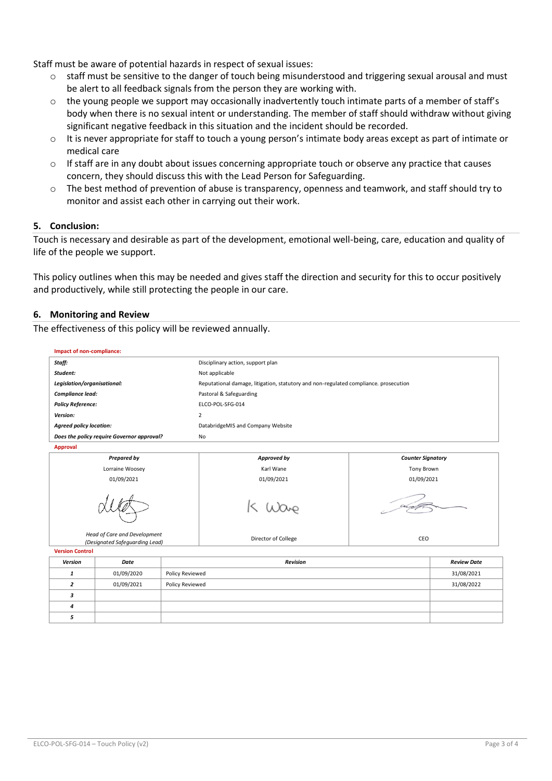Staff must be aware of potential hazards in respect of sexual issues:

- $\circ$  staff must be sensitive to the danger of touch being misunderstood and triggering sexual arousal and must be alert to all feedback signals from the person they are working with.
- $\circ$  the young people we support may occasionally inadvertently touch intimate parts of a member of staff's body when there is no sexual intent or understanding. The member of staff should withdraw without giving significant negative feedback in this situation and the incident should be recorded.
- o It is never appropriate for staff to touch a young person's intimate body areas except as part of intimate or medical care
- o If staff are in any doubt about issues concerning appropriate touch or observe any practice that causes concern, they should discuss this with the Lead Person for Safeguarding.
- o The best method of prevention of abuse is transparency, openness and teamwork, and staff should try to monitor and assist each other in carrying out their work.

# **5. Conclusion:**

Touch is necessary and desirable as part of the development, emotional well-being, care, education and quality of life of the people we support.

This policy outlines when this may be needed and gives staff the direction and security for this to occur positively and productively, while still protecting the people in our care.

## **6. Monitoring and Review**

The effectiveness of this policy will be reviewed annually.